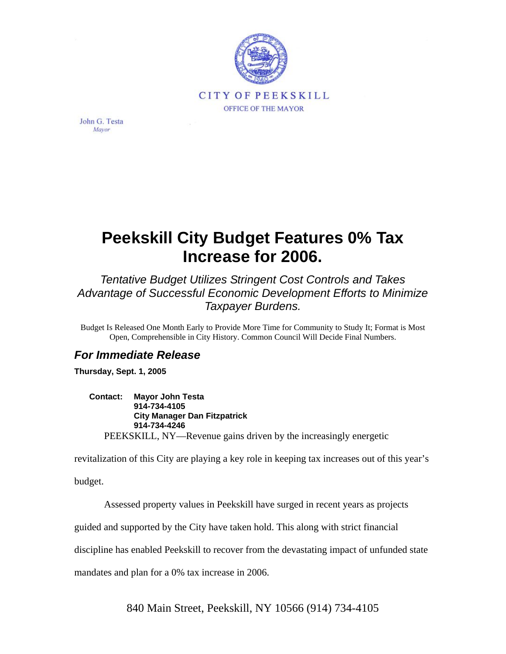

John G. Testa Mayor

## **Peekskill City Budget Features 0% Tax Increase for 2006.**

*Tentative Budget Utilizes Stringent Cost Controls and Takes Advantage of Successful Economic Development Efforts to Minimize Taxpayer Burdens.* 

Budget Is Released One Month Early to Provide More Time for Community to Study It; Format is Most Open, Comprehensible in City History. Common Council Will Decide Final Numbers.

## *For Immediate Release*

**Thursday, Sept. 1, 2005** 

**Contact: Mayor John Testa 914-734-4105 City Manager Dan Fitzpatrick 914-734-4246**  PEEKSKILL, NY—Revenue gains driven by the increasingly energetic

revitalization of this City are playing a key role in keeping tax increases out of this year's

budget.

Assessed property values in Peekskill have surged in recent years as projects

guided and supported by the City have taken hold. This along with strict financial

discipline has enabled Peekskill to recover from the devastating impact of unfunded state

mandates and plan for a 0% tax increase in 2006.

840 Main Street, Peekskill, NY 10566 (914) 734-4105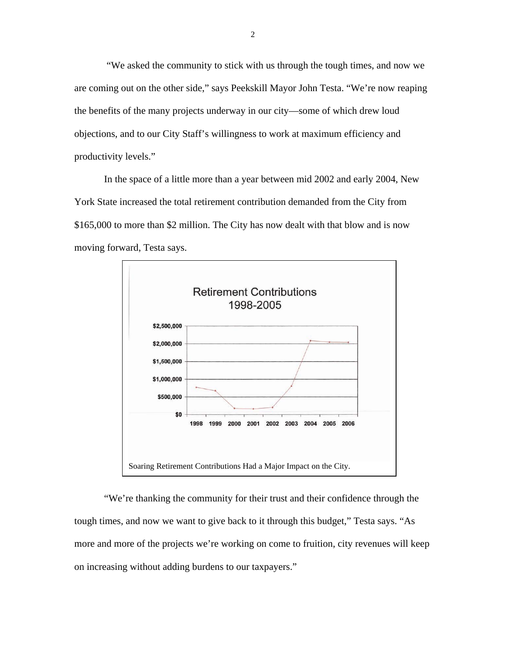"We asked the community to stick with us through the tough times, and now we are coming out on the other side," says Peekskill Mayor John Testa. "We're now reaping the benefits of the many projects underway in our city—some of which drew loud objections, and to our City Staff's willingness to work at maximum efficiency and productivity levels."

In the space of a little more than a year between mid 2002 and early 2004, New York State increased the total retirement contribution demanded from the City from \$165,000 to more than \$2 million. The City has now dealt with that blow and is now moving forward, Testa says.



"We're thanking the community for their trust and their confidence through the tough times, and now we want to give back to it through this budget," Testa says. "As more and more of the projects we're working on come to fruition, city revenues will keep on increasing without adding burdens to our taxpayers."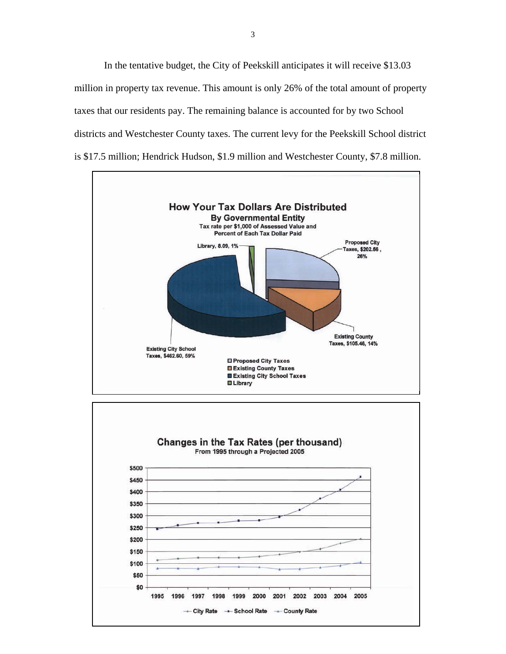In the tentative budget, the City of Peekskill anticipates it will receive \$13.03 million in property tax revenue. This amount is only 26% of the total amount of property taxes that our residents pay. The remaining balance is accounted for by two School districts and Westchester County taxes. The current levy for the Peekskill School district is \$17.5 million; Hendrick Hudson, \$1.9 million and Westchester County, \$7.8 million.



- City Rate - School Rate - County Rate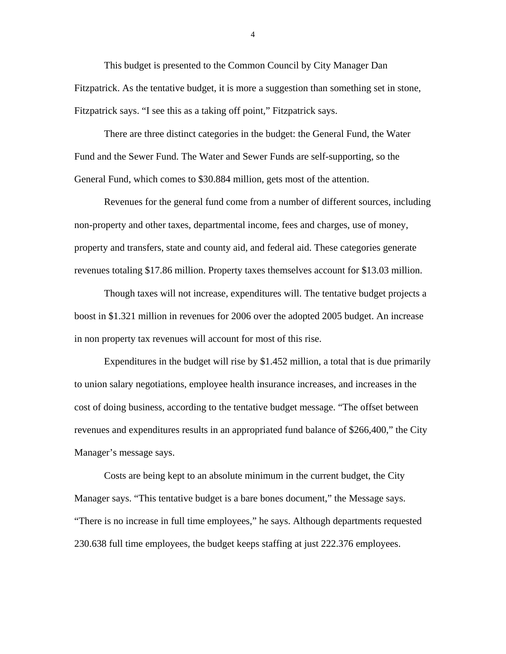This budget is presented to the Common Council by City Manager Dan Fitzpatrick. As the tentative budget, it is more a suggestion than something set in stone, Fitzpatrick says. "I see this as a taking off point," Fitzpatrick says.

There are three distinct categories in the budget: the General Fund, the Water Fund and the Sewer Fund. The Water and Sewer Funds are self-supporting, so the General Fund, which comes to \$30.884 million, gets most of the attention.

Revenues for the general fund come from a number of different sources, including non-property and other taxes, departmental income, fees and charges, use of money, property and transfers, state and county aid, and federal aid. These categories generate revenues totaling \$17.86 million. Property taxes themselves account for \$13.03 million.

Though taxes will not increase, expenditures will. The tentative budget projects a boost in \$1.321 million in revenues for 2006 over the adopted 2005 budget. An increase in non property tax revenues will account for most of this rise.

Expenditures in the budget will rise by \$1.452 million, a total that is due primarily to union salary negotiations, employee health insurance increases, and increases in the cost of doing business, according to the tentative budget message. "The offset between revenues and expenditures results in an appropriated fund balance of \$266,400," the City Manager's message says.

Costs are being kept to an absolute minimum in the current budget, the City Manager says. "This tentative budget is a bare bones document," the Message says. "There is no increase in full time employees," he says. Although departments requested 230.638 full time employees, the budget keeps staffing at just 222.376 employees.

4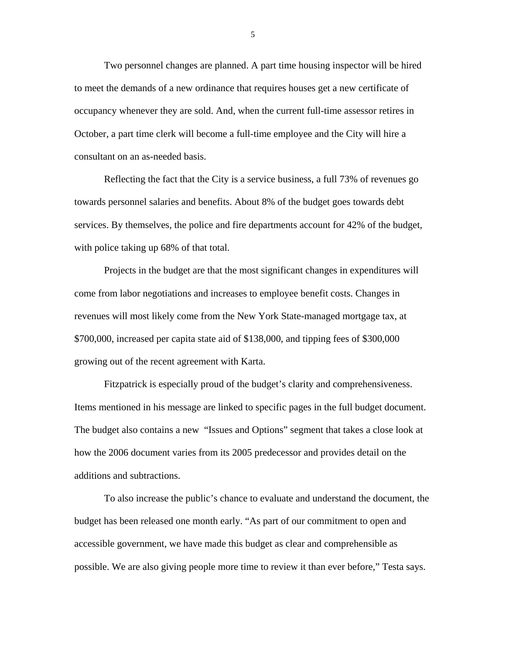Two personnel changes are planned. A part time housing inspector will be hired to meet the demands of a new ordinance that requires houses get a new certificate of occupancy whenever they are sold. And, when the current full-time assessor retires in October, a part time clerk will become a full-time employee and the City will hire a consultant on an as-needed basis.

Reflecting the fact that the City is a service business, a full 73% of revenues go towards personnel salaries and benefits. About 8% of the budget goes towards debt services. By themselves, the police and fire departments account for 42% of the budget, with police taking up 68% of that total.

Projects in the budget are that the most significant changes in expenditures will come from labor negotiations and increases to employee benefit costs. Changes in revenues will most likely come from the New York State-managed mortgage tax, at \$700,000, increased per capita state aid of \$138,000, and tipping fees of \$300,000 growing out of the recent agreement with Karta.

Fitzpatrick is especially proud of the budget's clarity and comprehensiveness. Items mentioned in his message are linked to specific pages in the full budget document. The budget also contains a new "Issues and Options" segment that takes a close look at how the 2006 document varies from its 2005 predecessor and provides detail on the additions and subtractions.

To also increase the public's chance to evaluate and understand the document, the budget has been released one month early. "As part of our commitment to open and accessible government, we have made this budget as clear and comprehensible as possible. We are also giving people more time to review it than ever before," Testa says.

5